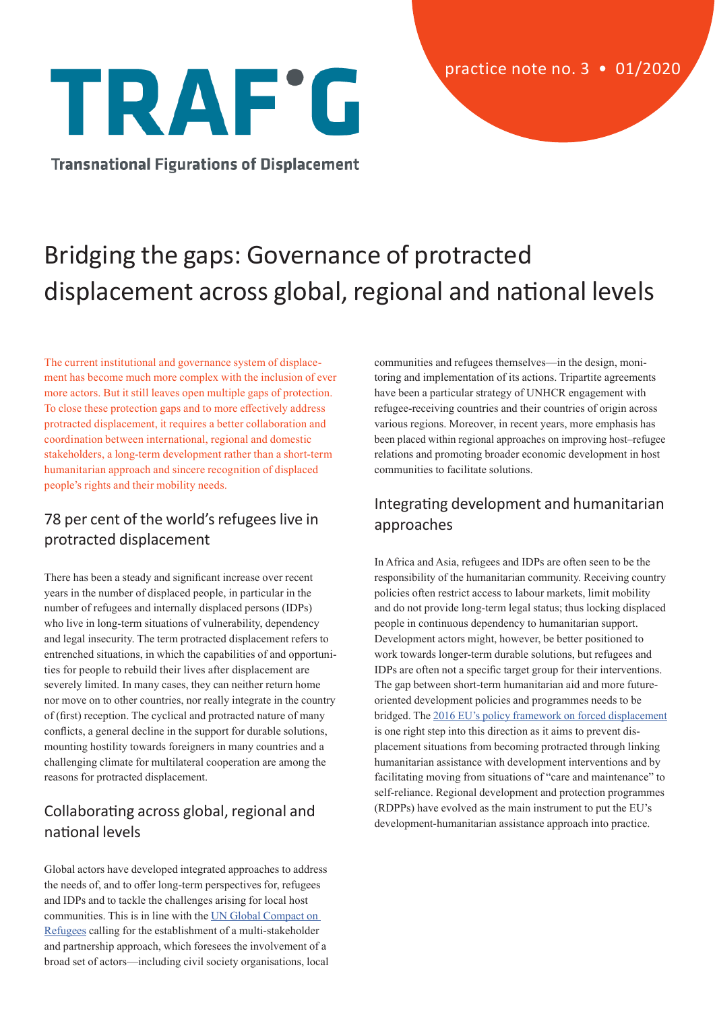# TRAF'G

**Transnational Figurations of Displacement** 

# Bridging the gaps: Governance of protracted displacement across global, regional and national levels

The current institutional and governance system of displacement has become much more complex with the inclusion of ever more actors. But it still leaves open multiple gaps of protection. To close these protection gaps and to more effectively address protracted displacement, it requires a better collaboration and coordination between international, regional and domestic stakeholders, a long-term development rather than a short-term humanitarian approach and sincere recognition of displaced people's rights and their mobility needs.

## 78 per cent of the world's refugees live in protracted displacement

There has been a steady and significant increase over recent years in the number of displaced people, in particular in the number of refugees and internally displaced persons (IDPs) who live in long-term situations of vulnerability, dependency and legal insecurity. The term protracted displacement refers to entrenched situations, in which the capabilities of and opportunities for people to rebuild their lives after displacement are severely limited. In many cases, they can neither return home nor move on to other countries, nor really integrate in the country of (first) reception. The cyclical and protracted nature of many conflicts, a general decline in the support for durable solutions, mounting hostility towards foreigners in many countries and a challenging climate for multilateral cooperation are among the reasons for protracted displacement.

## Collaborating across global, regional and national levels

Global actors have developed integrated approaches to address the needs of, and to offer long-term perspectives for, refugees and IDPs and to tackle the challenges arising for local host communities. This is in line with the [UN Global Compact on](https://www.unhcr.org/5c658aed4)  [Refugees](https://www.unhcr.org/5c658aed4) calling for the establishment of a multi-stakeholder and partnership approach, which foresees the involvement of a broad set of actors—including civil society organisations, local communities and refugees themselves—in the design, monitoring and implementation of its actions. Tripartite agreements have been a particular strategy of UNHCR engagement with refugee-receiving countries and their countries of origin across various regions. Moreover, in recent years, more emphasis has been placed within regional approaches on improving host–refugee relations and promoting broader economic development in host communities to facilitate solutions.

#### Integrating development and humanitarian approaches

In Africa and Asia, refugees and IDPs are often seen to be the responsibility of the humanitarian community. Receiving country policies often restrict access to labour markets, limit mobility and do not provide long-term legal status; thus locking displaced people in continuous dependency to humanitarian support. Development actors might, however, be better positioned to work towards longer-term durable solutions, but refugees and IDPs are often not a specific target group for their interventions. The gap between short-term humanitarian aid and more futureoriented development policies and programmes needs to be bridged. The [2016 EU's policy framework on forced displacement](https://eur-lex.europa.eu/legal-content/EN/TXT/PDF/?uri=CELEX:52016DC0234&from=EN) is one right step into this direction as it aims to prevent displacement situations from becoming protracted through linking humanitarian assistance with development interventions and by facilitating moving from situations of "care and maintenance" to self-reliance. Regional development and protection programmes (RDPPs) have evolved as the main instrument to put the EU's development-humanitarian assistance approach into practice.